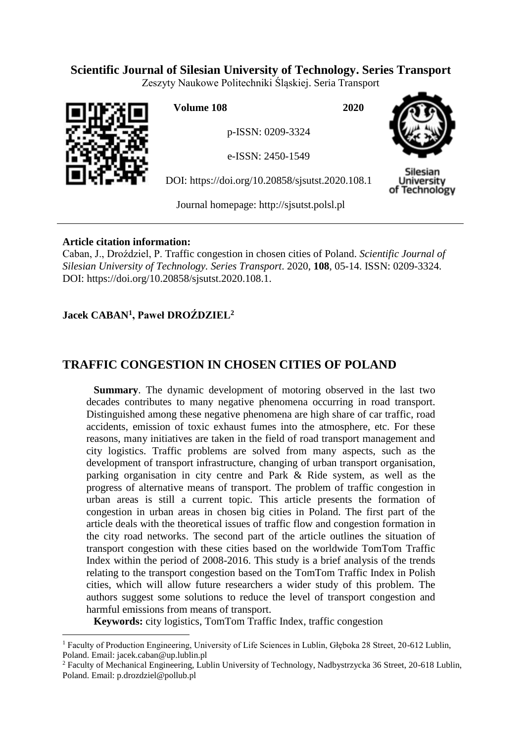## **Scientific Journal of Silesian University of Technology. Series Transport**

Zeszyty Naukowe Politechniki Śląskiej. Seria Transport



 $\overline{a}$ 

**Volume 108 2020**

p-ISSN: 0209-3324

e-ISSN: 2450-1549

DOI: https://doi.org/10.20858/sjsutst.2020.108.1



Silesian Jniversitv of Technology

Journal homepage: [http://sjsutst.polsl.pl](http://sjsutst.polsl.pl/)

## **Article citation information:**

Caban, J., Droździel, P. Traffic congestion in chosen cities of Poland. *Scientific Journal of Silesian University of Technology. Series Transport*. 2020, **108**, 05-14. ISSN: 0209-3324. DOI: https://doi.org/10.20858/sjsutst.2020.108.1.

## **Jacek CABAN<sup>1</sup> , Paweł DROŹDZIEL<sup>2</sup>**

# **TRAFFIC CONGESTION IN CHOSEN CITIES OF POLAND**

**Summary**. The dynamic development of motoring observed in the last two decades contributes to many negative phenomena occurring in road transport. Distinguished among these negative phenomena are high share of car traffic, road accidents, emission of toxic exhaust fumes into the atmosphere, etc. For these reasons, many initiatives are taken in the field of road transport management and city logistics. Traffic problems are solved from many aspects, such as the development of transport infrastructure, changing of urban transport organisation, parking organisation in city centre and Park & Ride system, as well as the progress of alternative means of transport. The problem of traffic congestion in urban areas is still a current topic. This article presents the formation of congestion in urban areas in chosen big cities in Poland. The first part of the article deals with the theoretical issues of traffic flow and congestion formation in the city road networks. The second part of the article outlines the situation of transport congestion with these cities based on the worldwide TomTom Traffic Index within the period of 2008-2016. This study is a brief analysis of the trends relating to the transport congestion based on the TomTom Traffic Index in Polish cities, which will allow future researchers a wider study of this problem. The authors suggest some solutions to reduce the level of transport congestion and harmful emissions from means of transport.

**Keywords:** city logistics, TomTom Traffic Index, traffic congestion

<sup>&</sup>lt;sup>1</sup> Faculty of Production Engineering, University of Life Sciences in Lublin, Głęboka 28 Street, 20-612 Lublin, Poland. Email: [jacek.caban@up.lublin.pl](mailto:jacek.caban@up.lublin.pl)

<sup>&</sup>lt;sup>2</sup> Faculty of Mechanical Engineering, Lublin University of Technology, Nadbystrzycka 36 Street, 20-618 Lublin, Poland. Email: [p.drozdziel@pollub.pl](mailto:p.drozdziel@pollub.pl)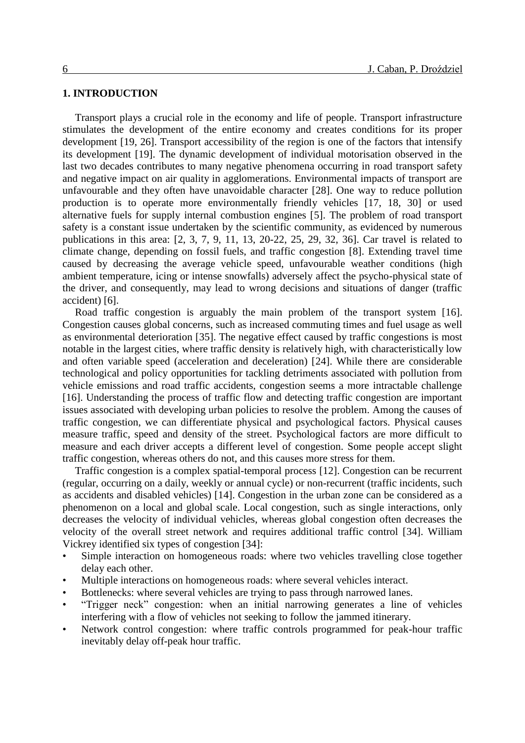#### **1. INTRODUCTION**

Transport plays a crucial role in the economy and life of people. Transport infrastructure stimulates the development of the entire economy and creates conditions for its proper development [19, 26]. Transport accessibility of the region is one of the factors that intensify its development [19]. The dynamic development of individual motorisation observed in the last two decades contributes to many negative phenomena occurring in road transport safety and negative impact on air quality in agglomerations. Environmental impacts of transport are unfavourable and they often have unavoidable character [28]. One way to reduce pollution production is to operate more environmentally friendly vehicles [17, 18, 30] or used alternative fuels for supply internal combustion engines [5]. The problem of road transport safety is a constant issue undertaken by the scientific community, as evidenced by numerous publications in this area: [2, 3, 7, 9, 11, 13, 20-22, 25, 29, 32, 36]. Car travel is related to climate change, depending on fossil fuels, and traffic congestion [8]. Extending travel time caused by decreasing the average vehicle speed, unfavourable weather conditions (high ambient temperature, icing or intense snowfalls) adversely affect the psycho-physical state of the driver, and consequently, may lead to wrong decisions and situations of danger (traffic accident) [6].

Road traffic congestion is arguably the main problem of the transport system [16]. Congestion causes global concerns, such as increased commuting times and fuel usage as well as environmental deterioration [35]. The negative effect caused by traffic congestions is most notable in the largest cities, where traffic density is relatively high, with characteristically low and often variable speed (acceleration and deceleration) [24]. While there are considerable technological and policy opportunities for tackling detriments associated with pollution from vehicle emissions and road traffic accidents, congestion seems a more intractable challenge [16]. Understanding the process of traffic flow and detecting traffic congestion are important issues associated with developing urban policies to resolve the problem. Among the causes of traffic congestion, we can differentiate physical and psychological factors. Physical causes measure traffic, speed and density of the street. Psychological factors are more difficult to measure and each driver accepts a different level of congestion. Some people accept slight traffic congestion, whereas others do not, and this causes more stress for them.

Traffic congestion is a complex spatial-temporal process [12]. Congestion can be recurrent (regular, occurring on a daily, weekly or annual cycle) or non-recurrent (traffic incidents, such as accidents and disabled vehicles) [14]. Congestion in the urban zone can be considered as a phenomenon on a local and global scale. Local congestion, such as single interactions, only decreases the velocity of individual vehicles, whereas global congestion often decreases the velocity of the overall street network and requires additional traffic control [34]. William Vickrey identified six types of congestion [34]:

- Simple interaction on homogeneous roads: where two vehicles travelling close together delay each other.
- Multiple interactions on homogeneous roads: where several vehicles interact.
- Bottlenecks: where several vehicles are trying to pass through narrowed lanes.
- "Trigger neck" congestion: when an initial narrowing generates a line of vehicles interfering with a flow of vehicles not seeking to follow the jammed itinerary.
- Network control congestion: where traffic controls programmed for peak-hour traffic inevitably delay off-peak hour traffic.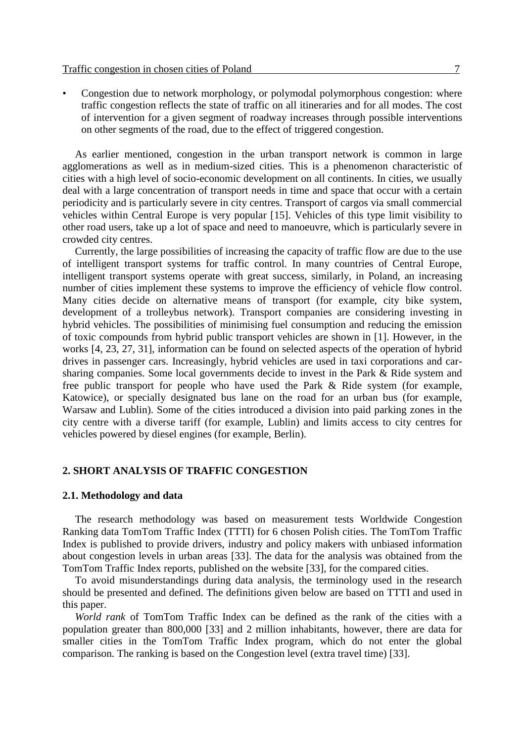• Congestion due to network morphology, or polymodal polymorphous congestion: where traffic congestion reflects the state of traffic on all itineraries and for all modes. The cost of intervention for a given segment of roadway increases through possible interventions on other segments of the road, due to the effect of triggered congestion.

As earlier mentioned, congestion in the urban transport network is common in large agglomerations as well as in medium-sized cities. This is a phenomenon characteristic of cities with a high level of socio-economic development on all continents. In cities, we usually deal with a large concentration of transport needs in time and space that occur with a certain periodicity and is particularly severe in city centres. Transport of cargos via small commercial vehicles within Central Europe is very popular [15]. Vehicles of this type limit visibility to other road users, take up a lot of space and need to manoeuvre, which is particularly severe in crowded city centres.

Currently, the large possibilities of increasing the capacity of traffic flow are due to the use of intelligent transport systems for traffic control. In many countries of Central Europe, intelligent transport systems operate with great success, similarly, in Poland, an increasing number of cities implement these systems to improve the efficiency of vehicle flow control. Many cities decide on alternative means of transport (for example, city bike system, development of a trolleybus network). Transport companies are considering investing in hybrid vehicles. The possibilities of minimising fuel consumption and reducing the emission of toxic compounds from hybrid public transport vehicles are shown in [1]. However, in the works [4, 23, 27, 31], information can be found on selected aspects of the operation of hybrid drives in passenger cars. Increasingly, hybrid vehicles are used in taxi corporations and carsharing companies. Some local governments decide to invest in the Park & Ride system and free public transport for people who have used the Park & Ride system (for example, Katowice), or specially designated bus lane on the road for an urban bus (for example, Warsaw and Lublin). Some of the cities introduced a division into paid parking zones in the city centre with a diverse tariff (for example, Lublin) and limits access to city centres for vehicles powered by diesel engines (for example, Berlin).

#### **2. SHORT ANALYSIS OF TRAFFIC CONGESTION**

#### **2.1. Methodology and data**

The research methodology was based on measurement tests Worldwide Congestion Ranking data TomTom Traffic Index (TTTI) for 6 chosen Polish cities. The TomTom Traffic Index is published to provide drivers, industry and policy makers with unbiased information about congestion levels in urban areas [33]. The data for the analysis was obtained from the TomTom Traffic Index reports, published on the website [33], for the compared cities.

To avoid misunderstandings during data analysis, the terminology used in the research should be presented and defined. The definitions given below are based on TTTI and used in this paper.

*World rank* of TomTom Traffic Index can be defined as the rank of the cities with a population greater than 800,000 [33] and 2 million inhabitants, however, there are data for smaller cities in the TomTom Traffic Index program, which do not enter the global comparison. The ranking is based on the Congestion level (extra travel time) [33].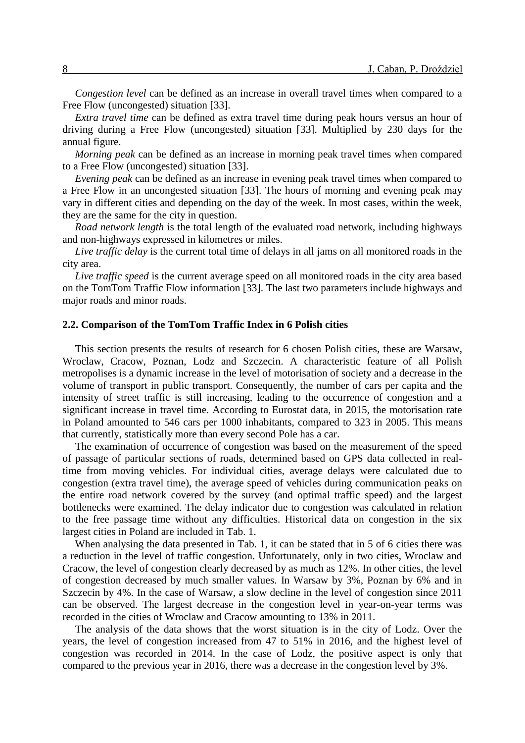*Congestion level* can be defined as an increase in overall travel times when compared to a Free Flow (uncongested) situation [33].

*Extra travel time* can be defined as extra travel time during peak hours versus an hour of driving during a Free Flow (uncongested) situation [33]. Multiplied by 230 days for the annual figure.

*Morning peak* can be defined as an increase in morning peak travel times when compared to a Free Flow (uncongested) situation [33].

*Evening peak* can be defined as an increase in evening peak travel times when compared to a Free Flow in an uncongested situation [33]. The hours of morning and evening peak may vary in different cities and depending on the day of the week. In most cases, within the week, they are the same for the city in question.

*Road network length* is the total length of the evaluated road network, including highways and non-highways expressed in kilometres or miles.

*Live traffic delay* is the current total time of delays in all jams on all monitored roads in the city area.

*Live traffic speed* is the current average speed on all monitored roads in the city area based on the TomTom Traffic Flow information [33]. The last two parameters include highways and major roads and minor roads.

#### **2.2. Comparison of the TomTom Traffic Index in 6 Polish cities**

This section presents the results of research for 6 chosen Polish cities, these are Warsaw, Wroclaw, Cracow, Poznan, Lodz and Szczecin. A characteristic feature of all Polish metropolises is a dynamic increase in the level of motorisation of society and a decrease in the volume of transport in public transport. Consequently, the number of cars per capita and the intensity of street traffic is still increasing, leading to the occurrence of congestion and a significant increase in travel time. According to Eurostat data, in 2015, the motorisation rate in Poland amounted to 546 cars per 1000 inhabitants, compared to 323 in 2005. This means that currently, statistically more than every second Pole has a car.

The examination of occurrence of congestion was based on the measurement of the speed of passage of particular sections of roads, determined based on GPS data collected in realtime from moving vehicles. For individual cities, average delays were calculated due to congestion (extra travel time), the average speed of vehicles during communication peaks on the entire road network covered by the survey (and optimal traffic speed) and the largest bottlenecks were examined. The delay indicator due to congestion was calculated in relation to the free passage time without any difficulties. Historical data on congestion in the six largest cities in Poland are included in Tab. 1.

When analysing the data presented in Tab. 1, it can be stated that in 5 of 6 cities there was a reduction in the level of traffic congestion. Unfortunately, only in two cities, Wroclaw and Cracow, the level of congestion clearly decreased by as much as 12%. In other cities, the level of congestion decreased by much smaller values. In Warsaw by 3%, Poznan by 6% and in Szczecin by 4%. In the case of Warsaw, a slow decline in the level of congestion since 2011 can be observed. The largest decrease in the congestion level in year-on-year terms was recorded in the cities of Wroclaw and Cracow amounting to 13% in 2011.

The analysis of the data shows that the worst situation is in the city of Lodz. Over the years, the level of congestion increased from 47 to 51% in 2016, and the highest level of congestion was recorded in 2014. In the case of Lodz, the positive aspect is only that compared to the previous year in 2016, there was a decrease in the congestion level by 3%.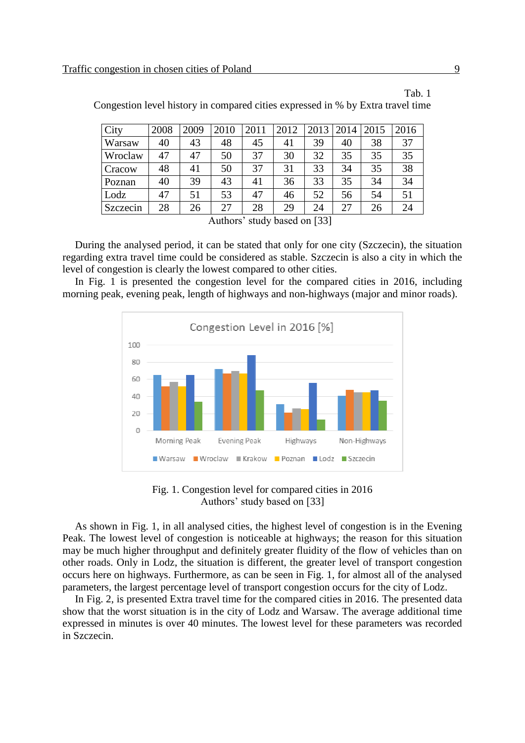| City                         | 2008 | 2009 | 2010 | 2011 | 2012 | 2013 | 2014 | 2015 | 2016 |
|------------------------------|------|------|------|------|------|------|------|------|------|
| Warsaw                       | 40   | 43   | 48   | 45   | 41   | 39   | 40   | 38   | 37   |
| Wroclaw                      | 47   | 47   | 50   | 37   | 30   | 32   | 35   | 35   | 35   |
| Cracow                       | 48   | 41   | 50   | 37   | 31   | 33   | 34   | 35   | 38   |
| Poznan                       | 40   | 39   | 43   | 41   | 36   | 33   | 35   | 34   | 34   |
| Lodz                         | 47   | 51   | 53   | 47   | 46   | 52   | 56   | 54   | 51   |
| Szczecin                     | 28   | 26   | 27   | 28   | 29   | 24   | 27   | 26   | 24   |
| Authors' study based on [33] |      |      |      |      |      |      |      |      |      |

Congestion level history in compared cities expressed in % by Extra travel time

During the analysed period, it can be stated that only for one city (Szczecin), the situation regarding extra travel time could be considered as stable. Szczecin is also a city in which the level of congestion is clearly the lowest compared to other cities.

In Fig. 1 is presented the congestion level for the compared cities in 2016, including morning peak, evening peak, length of highways and non-highways (major and minor roads).



Fig. 1. Congestion level for compared cities in 2016 Authors' study based on [33]

As shown in Fig. 1, in all analysed cities, the highest level of congestion is in the Evening Peak. The lowest level of congestion is noticeable at highways; the reason for this situation may be much higher throughput and definitely greater fluidity of the flow of vehicles than on other roads. Only in Lodz, the situation is different, the greater level of transport congestion occurs here on highways. Furthermore, as can be seen in Fig. 1, for almost all of the analysed parameters, the largest percentage level of transport congestion occurs for the city of Lodz.

In Fig. 2, is presented Extra travel time for the compared cities in 2016. The presented data show that the worst situation is in the city of Lodz and Warsaw. The average additional time expressed in minutes is over 40 minutes. The lowest level for these parameters was recorded in Szczecin.

Tab. 1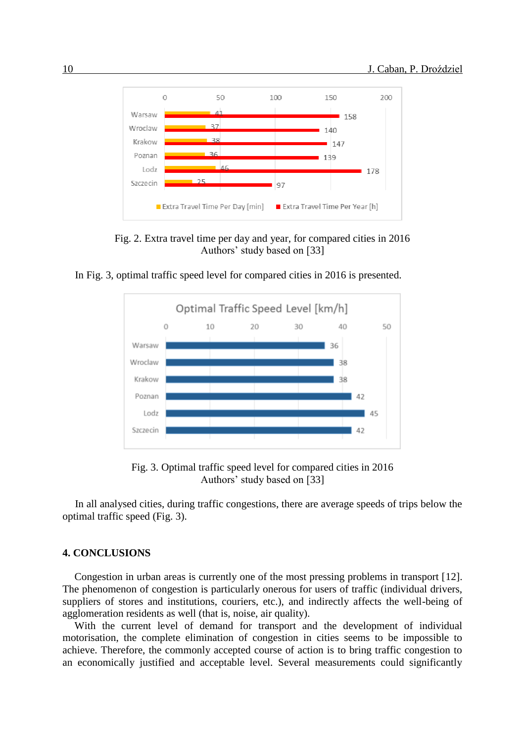

Fig. 2. Extra travel time per day and year, for compared cities in 2016 Authors' study based on [33]





Fig. 3. Optimal traffic speed level for compared cities in 2016 Authors' study based on [33]

In all analysed cities, during traffic congestions, there are average speeds of trips below the optimal traffic speed (Fig. 3).

#### **4. CONCLUSIONS**

Congestion in urban areas is currently one of the most pressing problems in transport [12]. The phenomenon of congestion is particularly onerous for users of traffic (individual drivers, suppliers of stores and institutions, couriers, etc.), and indirectly affects the well-being of agglomeration residents as well (that is, noise, air quality).

With the current level of demand for transport and the development of individual motorisation, the complete elimination of congestion in cities seems to be impossible to achieve. Therefore, the commonly accepted course of action is to bring traffic congestion to an economically justified and acceptable level. Several measurements could significantly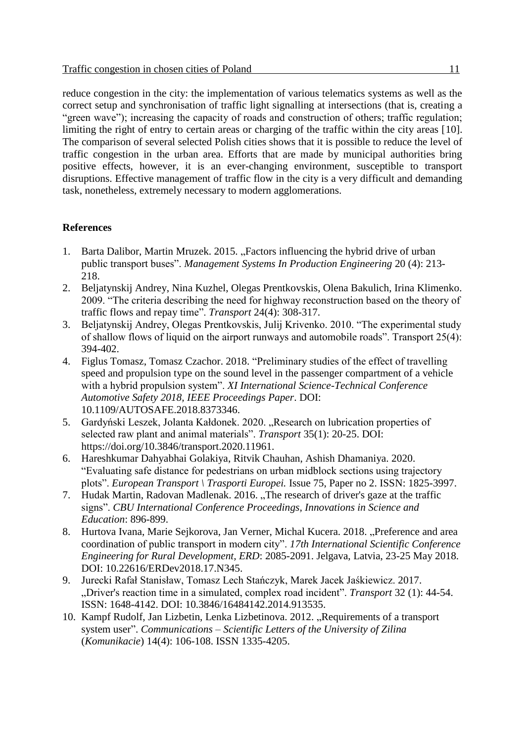reduce congestion in the city: the implementation of various telematics systems as well as the correct setup and synchronisation of traffic light signalling at intersections (that is, creating a "green wave"); increasing the capacity of roads and construction of others; traffic regulation; limiting the right of entry to certain areas or charging of the traffic within the city areas [10]. The comparison of several selected Polish cities shows that it is possible to reduce the level of traffic congestion in the urban area. Efforts that are made by municipal authorities bring positive effects, however, it is an ever-changing environment, susceptible to transport disruptions. Effective management of traffic flow in the city is a very difficult and demanding task, nonetheless, extremely necessary to modern agglomerations.

### **References**

- 1. Barta Dalibor, Martin Mruzek. 2015. "Factors influencing the hybrid drive of urban public transport buses". *Management Systems In Production Engineering* 20 (4): 213- 218.
- 2. Beljatynskij Andrey, Nina Kuzhel, Olegas Prentkovskis, Olena Bakulich, Irina Klimenko. 2009. "The criteria describing the need for highway reconstruction based on the theory of traffic flows and repay time". *Transport* 24(4): 308-317.
- 3. Beljatynskij Andrey, Olegas Prentkovskis, Julij Krivenko. 2010. "The experimental study of shallow flows of liquid on the airport runways and automobile roads". Transport 25(4): 394-402.
- 4. Figlus Tomasz, Tomasz Czachor. 2018. "Preliminary studies of the effect of travelling speed and propulsion type on the sound level in the passenger compartment of a vehicle with a hybrid propulsion system". *XI International Science-Technical Conference Automotive Safety 2018, IEEE Proceedings Paper*. DOI: 10.1109/AUTOSAFE.2018.8373346.
- 5. Gardyński Leszek, Jolanta Kałdonek. 2020. "Research on lubrication properties of selected raw plant and animal materials". *Transport* 35(1): 20-25. DOI: https://doi.org/10.3846/transport.2020.11961.
- 6. Hareshkumar Dahyabhai Golakiya, Ritvik Chauhan, Ashish Dhamaniya. 2020. "Evaluating safe distance for pedestrians on urban midblock sections using trajectory plots". *European Transport \ Trasporti Europei.* Issue 75, Paper no 2. ISSN: 1825-3997.
- 7. Hudak Martin, Radovan Madlenak. 2016. "The research of driver's gaze at the traffic signs". *CBU International Conference Proceedings, Innovations in Science and Education*: 896-899.
- 8. Hurtova Ivana, Marie Sejkorova, Jan Verner, Michal Kucera. 2018. "Preference and area coordination of public transport in modern city". *17th International Scientific Conference Engineering for Rural Development, ERD*: 2085-2091. Jelgava, Latvia, 23-25 May 2018. DOI: 10.22616/ERDev2018.17.N345.
- 9. Jurecki Rafał Stanisław, Tomasz Lech Stańczyk, Marek Jacek Jaśkiewicz. 2017. "Driver's reaction time in a simulated, complex road incident". *Transport* 32 (1): 44-54. ISSN: 1648-4142. DOI: 10.3846/16484142.2014.913535.
- 10. Kampf Rudolf, Jan Lizbetin, Lenka Lizbetinova. 2012. "Requirements of a transport system user". *Communications – Scientific Letters of the University of Zilina*  (*Komunikacie*) 14(4): 106-108. ISSN 1335-4205.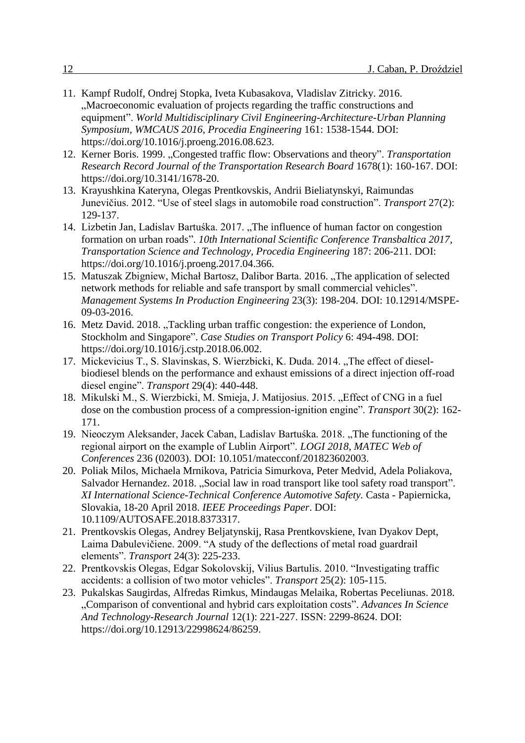- 11. Kampf Rudolf, Ondrej Stopka, Iveta Kubasakova, Vladislav Zitricky. 2016. "Macroeconomic evaluation of projects regarding the traffic constructions and equipment". *World Multidisciplinary Civil Engineering-Architecture-Urban Planning Symposium, WMCAUS 2016*, *Procedia Engineering* 161: 1538-1544. DOI: https://doi.org/10.1016/j.proeng.2016.08.623.
- 12. Kerner Boris. 1999. "Congested traffic flow: Observations and theory". *Transportation Research Record Journal of the Transportation Research Board* 1678(1): 160-167. DOI: https://doi.org/10.3141/1678-20.
- 13. Krayushkina Kateryna, Olegas Prentkovskis, Andrii Bieliatynskyi, Raimundas Junevičius. 2012. "Use of steel slags in automobile road construction". *Transport* 27(2): 129-137.
- 14. Lizbetin Jan, Ladislav Bartuśka. 2017. "The influence of human factor on congestion formation on urban roads". *10th International Scientific Conference Transbaltica 2017*, *Transportation Science and Technology, Procedia Engineering* 187: 206-211. DOI: https://doi.org/10.1016/j.proeng.2017.04.366.
- 15. Matuszak Zbigniew, Michał Bartosz, Dalibor Barta. 2016. "The application of selected network methods for reliable and safe transport by small commercial vehicles". *Management Systems In Production Engineering* 23(3): 198-204. DOI: 10.12914/MSPE-09-03-2016.
- 16. Metz David. 2018. "Tackling urban traffic congestion: the experience of London, Stockholm and Singapore". *Case Studies on Transport Policy* 6: 494-498. DOI: https://doi.org/10.1016/j.cstp.2018.06.002.
- 17. Mickevicius T., S. Slavinskas, S. Wierzbicki, K. Duda. 2014. "The effect of dieselbiodiesel blends on the performance and exhaust emissions of a direct injection off-road diesel engine". *Transport* 29(4): 440-448.
- 18. Mikulski M., S. Wierzbicki, M. Smieja, J. Matijosius. 2015. "Effect of CNG in a fuel dose on the combustion process of a compression-ignition engine". *Transport* 30(2): 162- 171.
- 19. Nieoczym Aleksander, Jacek Caban, Ladislav Bartuśka. 2018. "The functioning of the regional airport on the example of Lublin Airport". *LOGI 2018*, *MATEC Web of Conferences* 236 (02003). DOI: 10.1051/matecconf/201823602003.
- 20. Poliak Milos, Michaela Mrnikova, Patricia Simurkova, Peter Medvid, Adela Poliakova, Salvador Hernandez. 2018. "Social law in road transport like tool safety road transport". *XI International Science-Technical Conference Automotive Safety.* Casta - Papiernicka, Slovakia, 18-20 April 2018. *IEEE Proceedings Paper*. DOI: 10.1109/AUTOSAFE.2018.8373317.
- 21. Prentkovskis Olegas, Andrey Beljatynskij, Rasa Prentkovskiene, Ivan Dyakov Dept, Laima Dabulevičiene. 2009. "A study of the deflections of metal road guardrail elements". *Transport* 24(3): 225-233.
- 22. Prentkovskis Olegas, Edgar Sokolovskij, Vilius Bartulis. 2010. "Investigating traffic accidents: a collision of two motor vehicles". *Transport* 25(2): 105-115.
- 23. Pukalskas Saugirdas, Alfredas Rimkus, Mindaugas Melaika, Robertas Peceliunas. 2018. "Comparison of conventional and hybrid cars exploitation costs". *Advances In Science And Technology-Research Journal* 12(1): 221-227. ISSN: 2299-8624. DOI: https://doi.org/10.12913/22998624/86259.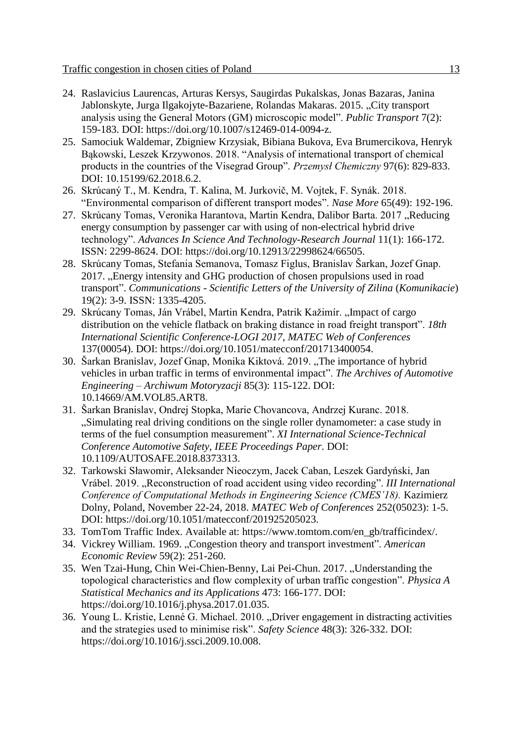- 24. Raslavicius Laurencas, Arturas Kersys, Saugirdas Pukalskas, Jonas Bazaras, Janina Jablonskyte, Jurga Ilgakojyte-Bazariene, Rolandas Makaras. 2015. "City transport analysis using the General Motors (GM) microscopic model". *Public Transport* 7(2): 159-183. DOI: https://doi.org/10.1007/s12469-014-0094-z.
- 25. Samociuk Waldemar, Zbigniew Krzysiak, Bibiana Bukova, Eva Brumercikova, Henryk Bąkowski, Leszek Krzywonos. 2018. "Analysis of international transport of chemical products in the countries of the Visegrad Group". *Przemysł Chemiczny* 97(6): 829-833. DOI: 10.15199/62.2018.6.2.
- 26. Skrúcaný T., M. Kendra, T. Kalina, M. Jurkovič, M. Vojtek, F. Synák. 2018. "Environmental comparison of different transport modes". *Nase More* 65(49): 192-196.
- 27. Skrúcany Tomas, Veronika Harantova, Martin Kendra, Dalibor Barta. 2017 "Reducing energy consumption by passenger car with using of non-electrical hybrid drive technology". *Advances In Science And Technology-Research Journal* 11(1): 166-172. ISSN: 2299-8624. DOI: https://doi.org/10.12913/22998624/66505.
- 28. Skrúcany Tomas, Stefania Semanova, Tomasz Figlus, Branislav Šarkan, Jozef Gnap. 2017. Energy intensity and GHG production of chosen propulsions used in road transport". *Communications - Scientific Letters of the University of Zilina* (*Komunikacie*) 19(2): 3-9. ISSN: 1335-4205.
- 29. Skrúcany Tomas, Ján Vrábel, Martin Kendra, Patrik Kažimír. "Impact of cargo distribution on the vehicle flatback on braking distance in road freight transport". *18th International Scientific Conference-LOGI 2017*, *MATEC Web of Conferences* 137(00054). DOI: https://doi.org/10.1051/matecconf/201713400054.
- 30. Šarkan Branislav, Jozef Gnap, Monika Kiktová. 2019. "The importance of hybrid vehicles in urban traffic in terms of environmental impact". *The Archives of Automotive Engineering – Archiwum Motoryzacji* 85(3): 115-122. DOI: 10.14669/AM.VOL85.ART8.
- 31. Šarkan Branislav, Ondrej Stopka, Marie Chovancova, Andrzej Kuranc. 2018. "Simulating real driving conditions on the single roller dynamometer: a case study in terms of the fuel consumption measurement". *XI International Science-Technical Conference Automotive Safety*, *IEEE Proceedings Paper*. DOI: 10.1109/AUTOSAFE.2018.8373313.
- 32. Tarkowski Sławomir, Aleksander Nieoczym, Jacek Caban, Leszek Gardyński, Jan Vrábel. 2019. "Reconstruction of road accident using video recording". *III International Conference of Computational Methods in Engineering Science (CMES'18).* Kazimierz Dolny, Poland, November 22-24, 2018. *MATEC Web of Conferences* 252(05023): 1-5. DOI: https://doi.org/10.1051/matecconf/201925205023.
- 33. TomTom Traffic Index. Available at: https://www.tomtom.com/en\_gb/trafficindex/.
- 34. Vickrey William. 1969. "Congestion theory and transport investment". *American Economic Review* 59(2): 251-260.
- 35. Wen Tzai-Hung, Chin Wei-Chien-Benny, Lai Pei-Chun. 2017. "Understanding the topological characteristics and flow complexity of urban traffic congestion". *Physica A Statistical Mechanics and its Applications* 473: 166-177. DOI: https://doi.org/10.1016/j.physa.2017.01.035.
- 36. Young L. Kristie, Lenné G. Michael. 2010. "Driver engagement in distracting activities and the strategies used to minimise risk". *Safety Science* 48(3): 326-332. DOI: [https://doi.org/10.1016/j.ssci.2009.10.008.](https://doi.org/10.1016/j.ssci.2009.10.008)